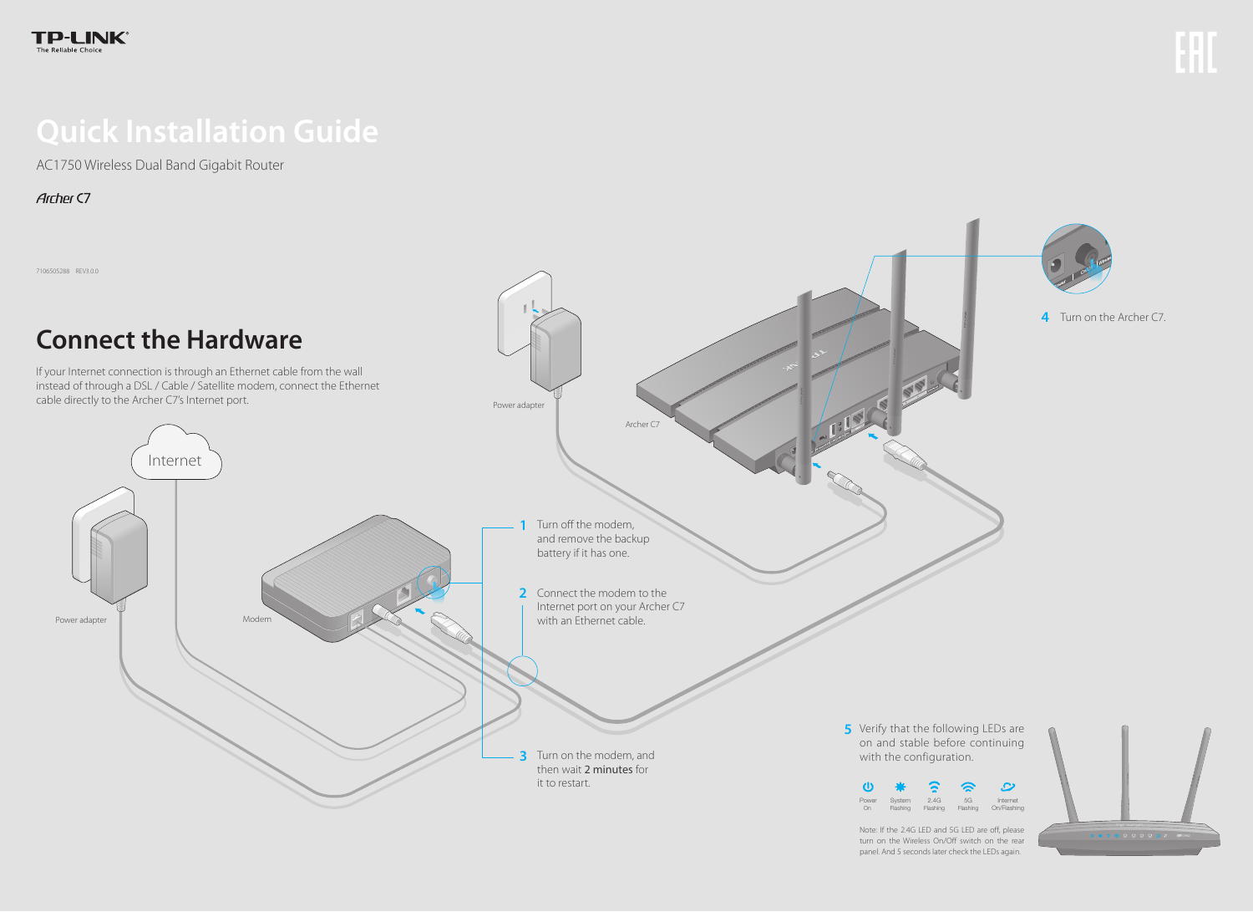# **Quick Installation Guide**

AC1750 Wireless Dual Band Gigabit Router

**Archer C7** 

7106505288 REV3.0.0

Verify that the following LEDs are **5** on and stable before continuing with the configuration.





Note: If the 2.4G LED and 5G LED are off, please turn on the Wireless On/Off switch on the rear panel. And 5 seconds later check the LEDs again.





**4** Turn on the Archer C7.